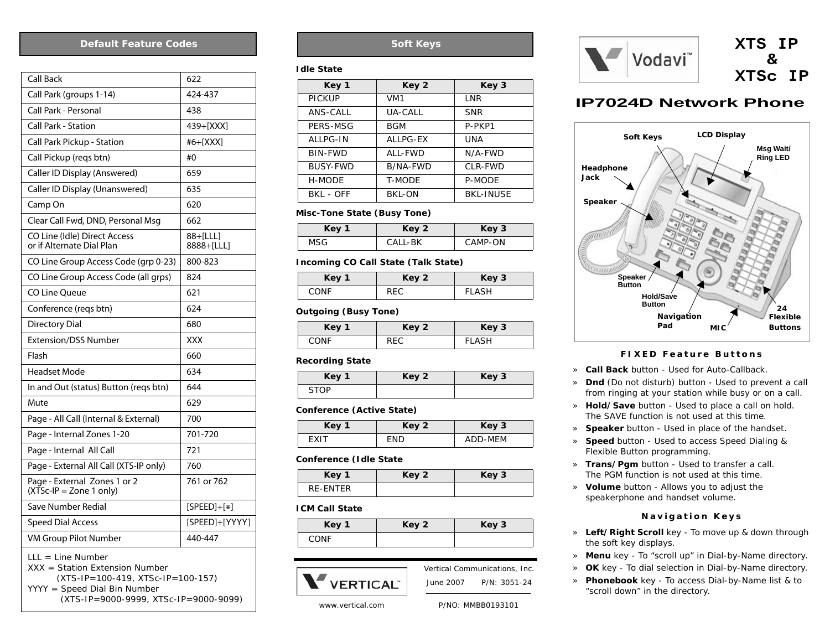#### **Default Feature Codes**

| <b>Call Back</b>                                                              | 622                    |
|-------------------------------------------------------------------------------|------------------------|
| Call Park (groups 1-14)                                                       | 424-437                |
| Call Park - Personal                                                          | 438                    |
| <b>Call Park - Station</b>                                                    | 439+[XXX]              |
| Call Park Pickup - Station                                                    | #6+[XXX]               |
| Call Pickup (regs btn)                                                        | #0                     |
| Caller ID Display (Answered)                                                  | 659                    |
| Caller ID Display (Unanswered)                                                | 635                    |
| Camp On                                                                       | 620                    |
| Clear Call Fwd, DND, Personal Msg                                             | 662                    |
| CO Line (Idle) Direct Access<br>or if Alternate Dial Plan                     | 88+[LLL]<br>8888+[LLL] |
| CO Line Group Access Code (grp 0-23)                                          | 800-823                |
| CO Line Group Access Code (all grps)                                          | 824                    |
| CO Line Oueue                                                                 | 621                    |
| Conference (reqs btn)                                                         | 624                    |
| <b>Directory Dial</b>                                                         | 680                    |
| <b>Extension/DSS Number</b>                                                   | XXX                    |
| Flash                                                                         | 660                    |
| <b>Headset Mode</b>                                                           | 634                    |
| In and Out (status) Button (reqs btn)                                         | 644                    |
| Mute                                                                          | 629                    |
| Page - All Call (Internal & External)                                         | 700                    |
| Page - Internal Zones 1-20                                                    | 701-720                |
| Page - Internal All Call                                                      | 721                    |
| Page - External All Call (XTS-IP only)                                        | 760                    |
| Page - External Zones 1 or 2<br>$(XTSc-IP = Zone 1 only)$                     | 761 or 762             |
| Save Number Redial                                                            | $[SPEED]+[*]$          |
| <b>Speed Dial Access</b>                                                      | [SPEED]+[YYYY]         |
| VM Group Pilot Number                                                         | 440-447                |
| $LLL = Line Number$<br>XXX = Station Extension Number<br>(0.0, 1.7)<br>$\sim$ |                        |

*(XTS-IP=100-419, XTSc-IP=100-157) YYYY = Speed Dial Bin Number (XTS-IP=9000-9999, XTSc-IP=9000-9099)*

# **Soft Keys**

#### **Idle State**

| Key 1           | Key 2          | Key 3            |
|-----------------|----------------|------------------|
| <b>PICKUP</b>   | VM1            | LNR              |
| ANS-CALL        | <b>UA-CALL</b> | <b>SNR</b>       |
| PERS-MSG        | <b>BGM</b>     | P-PKP1           |
| <b>ALLPG-IN</b> | ALLPG-EX       | UNA              |
| BIN-FWD         | ALL-FWD        | N/A-FWD          |
| BUSY-FWD        | B/NA-FWD       | CLR-FWD          |
| H-MODE          | <b>T-MODE</b>  | <b>P-MODE</b>    |
| BKL - OFF       | BKL-ON         | <b>BKL-INUSE</b> |

### **Misc-Tone State (Busy Tone)**

| Key 1 | Key 2   | Key 3   |
|-------|---------|---------|
| MSG   | CALL-BK | CAMP-ON |

#### **Incoming CO Call State (Talk State)**

| Key 1 | Key 2      | Key 3        |
|-------|------------|--------------|
| CONE  | <b>DEC</b> | <b>FIASH</b> |

### **Outgoing (Busy Tone)**

| Key 1 | Key 2 | Key 3         |
|-------|-------|---------------|
| CONE  | DE C  | <b>FI ASH</b> |

#### **Recording State**

| Key 1       | Key 2 | Key 3 |
|-------------|-------|-------|
| <b>STOD</b> |       |       |

#### **Conference (Active State)**

| Key 1       | Key 2 | Key 3   |
|-------------|-------|---------|
| <b>FXIT</b> | FND   | ADD-MEM |

#### **Conference (Idle State**

| Key '    | Key 2 | Key 3 |
|----------|-------|-------|
| RF-FNTFR |       |       |

#### **ICM Call State**

| Key 1       | Key 2 | Key 3 |
|-------------|-------|-------|
| <b>CONF</b> |       |       |



 June 2007 P/N: 3051-24Vertical Communications, Inc.



# **IP7024D Network Phone**



### *FIXED Feature Buttons*

- » **Call Back** button Used for Auto-Callback.
- » **Dnd** (Do not disturb) button Used to prevent a call from ringing at your station while busy or on a call.
- » **Hold/Save** button Used to place a call on hold. *The SAVE function is not used at this time.*
- » **Speaker** button Used in place of the handset.
- » **Speed** button Used to access Speed Dialing & Flexible Button programming.
- » **Trans/Pgm** button Used to transfer a call. *The PGM function is not used at this time.*
- » **Volume** button Allows you to adjust the speakerphone and handset volume.

## *Navigation Keys*

- » **Left/Right Scroll** key To move up & down through the soft key displays.
- » **Menu** key To "scroll up" in Dial-by-Name directory.
- » **OK** key To dial selection in Dial-by-Name directory.
- » **Phonebook** key To access Dial-by-Name list & to "scroll down" in the directory.

www.vertical.com

*P/NO: MMBB0193101*